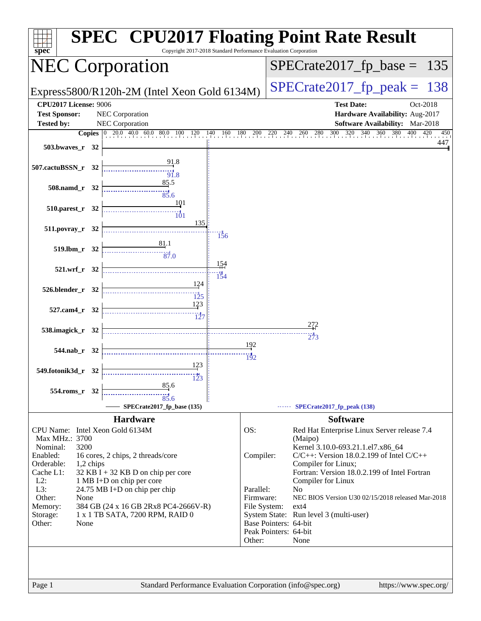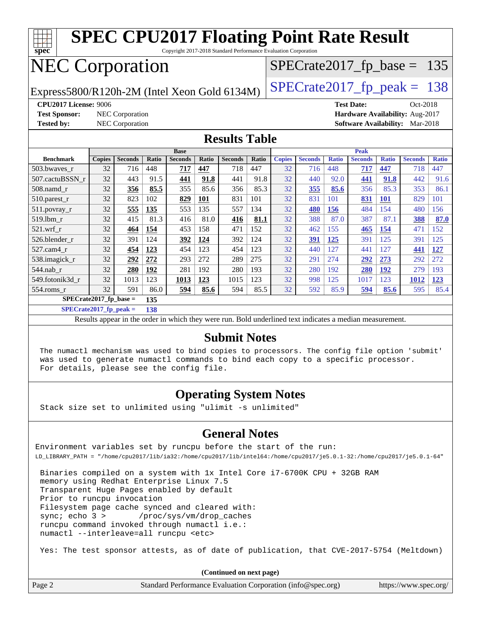

**[SPECrate2017\\_fp\\_peak =](http://www.spec.org/auto/cpu2017/Docs/result-fields.html#SPECrate2017fppeak) 138**

Results appear in the [order in which they were run.](http://www.spec.org/auto/cpu2017/Docs/result-fields.html#RunOrder) Bold underlined text [indicates a median measurement.](http://www.spec.org/auto/cpu2017/Docs/result-fields.html#Median)

#### **[Submit Notes](http://www.spec.org/auto/cpu2017/Docs/result-fields.html#SubmitNotes)**

 The numactl mechanism was used to bind copies to processors. The config file option 'submit' was used to generate numactl commands to bind each copy to a specific processor. For details, please see the config file.

#### **[Operating System Notes](http://www.spec.org/auto/cpu2017/Docs/result-fields.html#OperatingSystemNotes)**

Stack size set to unlimited using "ulimit -s unlimited"

#### **[General Notes](http://www.spec.org/auto/cpu2017/Docs/result-fields.html#GeneralNotes)**

Environment variables set by runcpu before the start of the run: LD\_LIBRARY\_PATH = "/home/cpu2017/lib/ia32:/home/cpu2017/lib/intel64:/home/cpu2017/je5.0.1-32:/home/cpu2017/je5.0.1-64"

 Binaries compiled on a system with 1x Intel Core i7-6700K CPU + 32GB RAM memory using Redhat Enterprise Linux 7.5 Transparent Huge Pages enabled by default Prior to runcpu invocation Filesystem page cache synced and cleared with: sync; echo 3 > /proc/sys/vm/drop\_caches runcpu command invoked through numactl i.e.: numactl --interleave=all runcpu <etc>

Yes: The test sponsor attests, as of date of publication, that CVE-2017-5754 (Meltdown)

**(Continued on next page)**

| Page 2 | Standard Performance Evaluation Corporation (info@spec.org) | https://www.spec.org/ |
|--------|-------------------------------------------------------------|-----------------------|
|--------|-------------------------------------------------------------|-----------------------|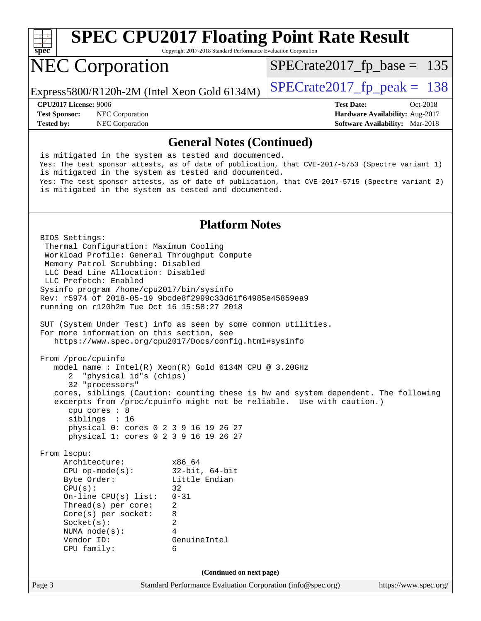

Copyright 2017-2018 Standard Performance Evaluation Corporation

## NEC Corporation

Express5800/R120h-2M (Intel Xeon Gold 6134M)  $\left|$  [SPECrate2017\\_fp\\_peak =](http://www.spec.org/auto/cpu2017/Docs/result-fields.html#SPECrate2017fppeak) 138

**[Test Sponsor:](http://www.spec.org/auto/cpu2017/Docs/result-fields.html#TestSponsor)** NEC Corporation **[Hardware Availability:](http://www.spec.org/auto/cpu2017/Docs/result-fields.html#HardwareAvailability)** Aug-2017 **[Tested by:](http://www.spec.org/auto/cpu2017/Docs/result-fields.html#Testedby)** NEC Corporation **[Software Availability:](http://www.spec.org/auto/cpu2017/Docs/result-fields.html#SoftwareAvailability)** Mar-2018

**[CPU2017 License:](http://www.spec.org/auto/cpu2017/Docs/result-fields.html#CPU2017License)** 9006 **[Test Date:](http://www.spec.org/auto/cpu2017/Docs/result-fields.html#TestDate)** Oct-2018

 $SPECTate2017_fp\_base = 135$ 

#### **[General Notes \(Continued\)](http://www.spec.org/auto/cpu2017/Docs/result-fields.html#GeneralNotes)**

 is mitigated in the system as tested and documented. Yes: The test sponsor attests, as of date of publication, that CVE-2017-5753 (Spectre variant 1) is mitigated in the system as tested and documented. Yes: The test sponsor attests, as of date of publication, that CVE-2017-5715 (Spectre variant 2) is mitigated in the system as tested and documented.

#### **[Platform Notes](http://www.spec.org/auto/cpu2017/Docs/result-fields.html#PlatformNotes)**

Page 3 Standard Performance Evaluation Corporation [\(info@spec.org\)](mailto:info@spec.org) <https://www.spec.org/> BIOS Settings: Thermal Configuration: Maximum Cooling Workload Profile: General Throughput Compute Memory Patrol Scrubbing: Disabled LLC Dead Line Allocation: Disabled LLC Prefetch: Enabled Sysinfo program /home/cpu2017/bin/sysinfo Rev: r5974 of 2018-05-19 9bcde8f2999c33d61f64985e45859ea9 running on r120h2m Tue Oct 16 15:58:27 2018 SUT (System Under Test) info as seen by some common utilities. For more information on this section, see <https://www.spec.org/cpu2017/Docs/config.html#sysinfo> From /proc/cpuinfo model name : Intel(R) Xeon(R) Gold 6134M CPU @ 3.20GHz 2 "physical id"s (chips) 32 "processors" cores, siblings (Caution: counting these is hw and system dependent. The following excerpts from /proc/cpuinfo might not be reliable. Use with caution.) cpu cores : 8 siblings : 16 physical 0: cores 0 2 3 9 16 19 26 27 physical 1: cores 0 2 3 9 16 19 26 27 From lscpu: Architecture: x86\_64 CPU op-mode(s): 32-bit, 64-bit Byte Order: Little Endian  $CPU(s):$  32 On-line CPU(s) list: 0-31 Thread(s) per core: 2 Core(s) per socket: 8 Socket(s): 2 NUMA node(s): 4 Vendor ID: GenuineIntel CPU family: 6 **(Continued on next page)**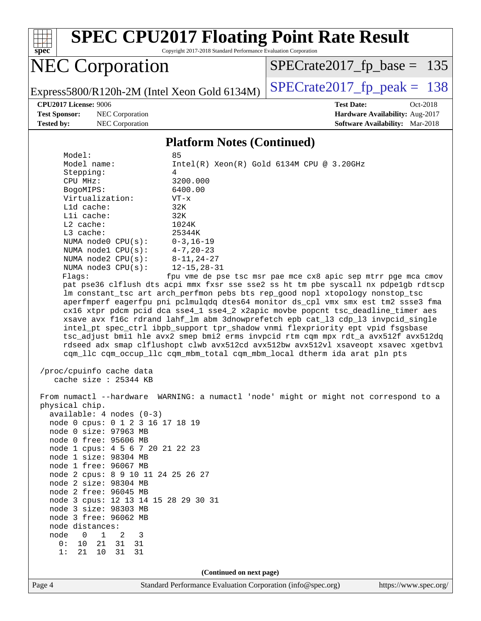

Copyright 2017-2018 Standard Performance Evaluation Corporation

# NEC Corporation

[SPECrate2017\\_fp\\_base =](http://www.spec.org/auto/cpu2017/Docs/result-fields.html#SPECrate2017fpbase) 135

Express5800/R120h-2M (Intel Xeon Gold 6134M)  $\left|$  [SPECrate2017\\_fp\\_peak =](http://www.spec.org/auto/cpu2017/Docs/result-fields.html#SPECrate2017fppeak) 138

**[Test Sponsor:](http://www.spec.org/auto/cpu2017/Docs/result-fields.html#TestSponsor)** NEC Corporation **[Hardware Availability:](http://www.spec.org/auto/cpu2017/Docs/result-fields.html#HardwareAvailability)** Aug-2017 **[Tested by:](http://www.spec.org/auto/cpu2017/Docs/result-fields.html#Testedby)** NEC Corporation **[Software Availability:](http://www.spec.org/auto/cpu2017/Docs/result-fields.html#SoftwareAvailability)** Mar-2018

**[CPU2017 License:](http://www.spec.org/auto/cpu2017/Docs/result-fields.html#CPU2017License)** 9006 **[Test Date:](http://www.spec.org/auto/cpu2017/Docs/result-fields.html#TestDate)** Oct-2018

#### **[Platform Notes \(Continued\)](http://www.spec.org/auto/cpu2017/Docs/result-fields.html#PlatformNotes)**

| Model:                               | 85                                                                                   |
|--------------------------------------|--------------------------------------------------------------------------------------|
| Model name:                          | $Intel(R)$ Xeon $(R)$ Gold 6134M CPU @ 3.20GHz                                       |
| Stepping:                            | $\overline{4}$                                                                       |
| CPU MHz:                             | 3200.000                                                                             |
| BogoMIPS:                            | 6400.00                                                                              |
| Virtualization:                      | $VT - x$                                                                             |
| L1d cache:                           | 32K                                                                                  |
| $L1i$ cache:                         | 32K                                                                                  |
| $L2$ cache:                          | 1024K                                                                                |
| L3 cache:                            | 25344K                                                                               |
| NUMA node0 CPU(s):                   | $0 - 3, 16 - 19$                                                                     |
| NUMA nodel CPU(s):                   | 4-7,20-23                                                                            |
| NUMA $node2$ $CPU(s):$               | $8 - 11, 24 - 27$                                                                    |
| NUMA $node3$ $CPU(s)$ :              | $12 - 15, 28 - 31$                                                                   |
| Flags:                               | fpu vme de pse tsc msr pae mce cx8 apic sep mtrr pge mca cmov                        |
|                                      | pat pse36 clflush dts acpi mmx fxsr sse sse2 ss ht tm pbe syscall nx pdpe1gb rdtscp  |
|                                      | lm constant_tsc art arch_perfmon pebs bts rep_good nopl xtopology nonstop_tsc        |
|                                      | aperfmperf eagerfpu pni pclmulqdq dtes64 monitor ds_cpl vmx smx est tm2 ssse3 fma    |
|                                      | cx16 xtpr pdcm pcid dca sse4_1 sse4_2 x2apic movbe popcnt tsc_deadline_timer aes     |
|                                      | xsave avx f16c rdrand lahf_lm abm 3dnowprefetch epb cat_13 cdp_13 invpcid_single     |
|                                      | intel_pt spec_ctrl ibpb_support tpr_shadow vnmi flexpriority ept vpid fsgsbase       |
|                                      | tsc_adjust bmil hle avx2 smep bmi2 erms invpcid rtm cqm mpx rdt_a avx512f avx512dq   |
|                                      | rdseed adx smap clflushopt clwb avx512cd avx512bw avx512vl xsaveopt xsavec xgetbvl   |
|                                      | cqm_llc cqm_occup_llc cqm_mbm_total cqm_mbm_local dtherm ida arat pln pts            |
|                                      |                                                                                      |
| /proc/cpuinfo cache data             |                                                                                      |
| cache size : 25344 KB                |                                                                                      |
|                                      |                                                                                      |
|                                      | From numactl --hardware WARNING: a numactl 'node' might or might not correspond to a |
| physical chip.                       |                                                                                      |
| $available: 4 nodes (0-3)$           |                                                                                      |
| node 0 cpus: 0 1 2 3 16 17 18 19     |                                                                                      |
| node 0 size: 97963 MB                |                                                                                      |
| node 0 free: 95606 MB                |                                                                                      |
| node 1 cpus: 4 5 6 7 20 21 22 23     |                                                                                      |
| node 1 size: 98304 MB                |                                                                                      |
| node 1 free: 96067 MB                |                                                                                      |
| node 2 cpus: 8 9 10 11 24 25 26 27   |                                                                                      |
| node 2 size: 98304 MB                |                                                                                      |
| node 2 free: 96045 MB                |                                                                                      |
| node 3 cpus: 12 13 14 15 28 29 30 31 |                                                                                      |
| node 3 size: 98303 MB                |                                                                                      |
| node 3 free: 96062 MB                |                                                                                      |
| node distances:                      |                                                                                      |

 0: 10 21 31 31 1: 21 10 31 31

node 0 1 2 3

**(Continued on next page)**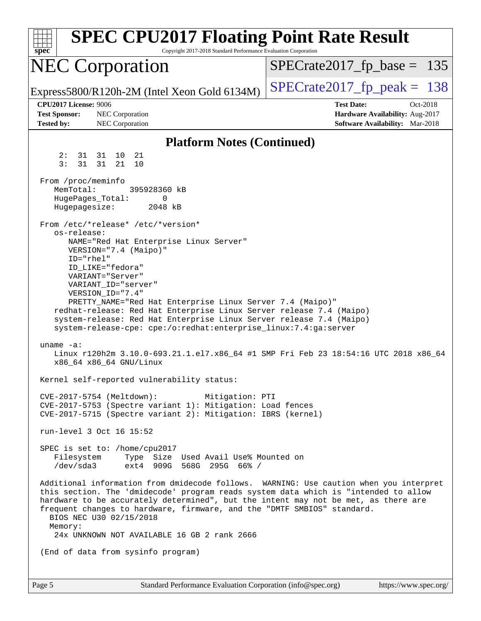| <b>SPEC CPU2017 Floating Point Rate Result</b><br>Copyright 2017-2018 Standard Performance Evaluation Corporation<br>spec <sup>®</sup>                                                                                                                                                                                                                                                                                                                                                                |                                                                                                            |
|-------------------------------------------------------------------------------------------------------------------------------------------------------------------------------------------------------------------------------------------------------------------------------------------------------------------------------------------------------------------------------------------------------------------------------------------------------------------------------------------------------|------------------------------------------------------------------------------------------------------------|
| <b>NEC Corporation</b>                                                                                                                                                                                                                                                                                                                                                                                                                                                                                | $SPECrate2017_fp\_base = 135$                                                                              |
| Express5800/R120h-2M (Intel Xeon Gold 6134M)                                                                                                                                                                                                                                                                                                                                                                                                                                                          | $SPECrate2017_fp\_peak = 138$                                                                              |
| CPU2017 License: 9006<br><b>Test Sponsor:</b><br><b>NEC</b> Corporation<br><b>Tested by:</b><br>NEC Corporation                                                                                                                                                                                                                                                                                                                                                                                       | <b>Test Date:</b><br>Oct-2018<br>Hardware Availability: Aug-2017<br><b>Software Availability:</b> Mar-2018 |
| <b>Platform Notes (Continued)</b>                                                                                                                                                                                                                                                                                                                                                                                                                                                                     |                                                                                                            |
| 2:<br>31 31<br>10 21<br>3:<br>31 31<br>21<br>10                                                                                                                                                                                                                                                                                                                                                                                                                                                       |                                                                                                            |
| From /proc/meminfo<br>MemTotal:<br>395928360 kB<br>HugePages_Total:<br>0<br>Hugepagesize:<br>2048 kB                                                                                                                                                                                                                                                                                                                                                                                                  |                                                                                                            |
| From /etc/*release* /etc/*version*<br>os-release:<br>NAME="Red Hat Enterprise Linux Server"<br>VERSION="7.4 (Maipo)"<br>$ID="rhe1"$<br>ID LIKE="fedora"<br>VARIANT="Server"<br>VARIANT ID="server"<br>VERSION_ID="7.4"<br>PRETTY_NAME="Red Hat Enterprise Linux Server 7.4 (Maipo)"<br>redhat-release: Red Hat Enterprise Linux Server release 7.4 (Maipo)<br>system-release: Red Hat Enterprise Linux Server release 7.4 (Maipo)<br>system-release-cpe: cpe:/o:redhat:enterprise_linux:7.4:ga:server |                                                                                                            |
| uname $-a$ :<br>Linux r120h2m 3.10.0-693.21.1.el7.x86_64 #1 SMP Fri Feb 23 18:54:16 UTC 2018 x86_64<br>x86 64 x86 64 GNU/Linux                                                                                                                                                                                                                                                                                                                                                                        |                                                                                                            |
| Kernel self-reported vulnerability status:                                                                                                                                                                                                                                                                                                                                                                                                                                                            |                                                                                                            |
| CVE-2017-5754 (Meltdown):<br>Mitigation: PTI<br>CVE-2017-5753 (Spectre variant 1): Mitigation: Load fences<br>CVE-2017-5715 (Spectre variant 2): Mitigation: IBRS (kernel)                                                                                                                                                                                                                                                                                                                            |                                                                                                            |
| run-level 3 Oct 16 15:52                                                                                                                                                                                                                                                                                                                                                                                                                                                                              |                                                                                                            |
| SPEC is set to: /home/cpu2017<br>Filesystem Type Size Used Avail Use% Mounted on<br>ext4 909G 568G 295G 66% /<br>/dev/sda3                                                                                                                                                                                                                                                                                                                                                                            |                                                                                                            |
| Additional information from dmidecode follows. WARNING: Use caution when you interpret<br>this section. The 'dmidecode' program reads system data which is "intended to allow<br>hardware to be accurately determined", but the intent may not be met, as there are<br>frequent changes to hardware, firmware, and the "DMTF SMBIOS" standard.<br>BIOS NEC U30 02/15/2018<br>Memory:<br>24x UNKNOWN NOT AVAILABLE 16 GB 2 rank 2666                                                                   |                                                                                                            |
| (End of data from sysinfo program)                                                                                                                                                                                                                                                                                                                                                                                                                                                                    |                                                                                                            |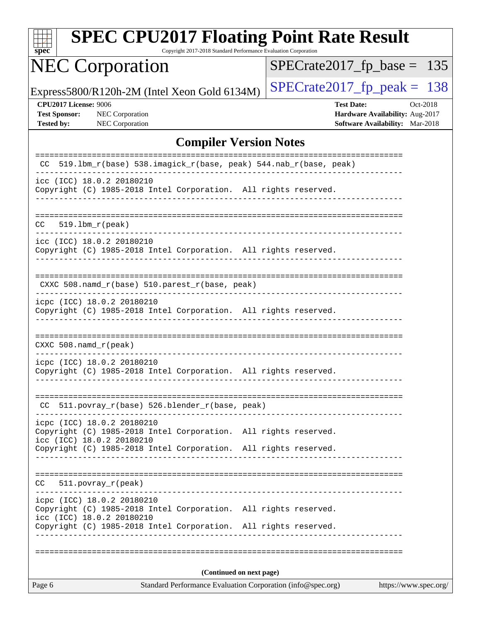| spe<br>U |  |  |  |  |  |
|----------|--|--|--|--|--|

Copyright 2017-2018 Standard Performance Evaluation Corporation

# NEC Corporation

[SPECrate2017\\_fp\\_base =](http://www.spec.org/auto/cpu2017/Docs/result-fields.html#SPECrate2017fpbase) 135

Express5800/R120h-2M (Intel Xeon Gold 6134M)  $\left|$  [SPECrate2017\\_fp\\_peak =](http://www.spec.org/auto/cpu2017/Docs/result-fields.html#SPECrate2017fppeak) 138

**[Tested by:](http://www.spec.org/auto/cpu2017/Docs/result-fields.html#Testedby)** NEC Corporation **[Software Availability:](http://www.spec.org/auto/cpu2017/Docs/result-fields.html#SoftwareAvailability)** Mar-2018

**[CPU2017 License:](http://www.spec.org/auto/cpu2017/Docs/result-fields.html#CPU2017License)** 9006 **[Test Date:](http://www.spec.org/auto/cpu2017/Docs/result-fields.html#TestDate)** Oct-2018 **[Test Sponsor:](http://www.spec.org/auto/cpu2017/Docs/result-fields.html#TestSponsor)** NEC Corporation **[Hardware Availability:](http://www.spec.org/auto/cpu2017/Docs/result-fields.html#HardwareAvailability)** Aug-2017

#### **[Compiler Version Notes](http://www.spec.org/auto/cpu2017/Docs/result-fields.html#CompilerVersionNotes)**

| Page 6                                                                                                                     | Standard Performance Evaluation Corporation (info@spec.org)<br>https://www.spec.org/ |
|----------------------------------------------------------------------------------------------------------------------------|--------------------------------------------------------------------------------------|
|                                                                                                                            | (Continued on next page)                                                             |
|                                                                                                                            |                                                                                      |
| icc (ICC) 18.0.2 20180210<br>Copyright (C) 1985-2018 Intel Corporation. All rights reserved.                               |                                                                                      |
| icpc (ICC) 18.0.2 20180210<br>Copyright (C) 1985-2018 Intel Corporation. All rights reserved.                              |                                                                                      |
| 511.povray_r(peak)<br>CC.                                                                                                  | ---------------------------------                                                    |
| Copyright (C) 1985-2018 Intel Corporation. All rights reserved.                                                            |                                                                                      |
| icpc (ICC) 18.0.2 20180210<br>Copyright (C) 1985-2018 Intel Corporation. All rights reserved.<br>icc (ICC) 18.0.2 20180210 |                                                                                      |
| CC 511.povray_r(base) 526.blender_r(base, peak)                                                                            |                                                                                      |
| icpc (ICC) 18.0.2 20180210<br>Copyright (C) 1985-2018 Intel Corporation. All rights reserved.                              |                                                                                      |
| $CXXC 508.namd_r (peak)$                                                                                                   | _________________________________                                                    |
| icpc (ICC) 18.0.2 20180210<br>Copyright (C) 1985-2018 Intel Corporation. All rights reserved.                              |                                                                                      |
| CXXC 508.namd_r(base) 510.parest_r(base, peak)                                                                             |                                                                                      |
|                                                                                                                            |                                                                                      |
| icc (ICC) 18.0.2 20180210<br>Copyright (C) 1985-2018 Intel Corporation. All rights reserved.                               |                                                                                      |
| $519.1bm_r(peak)$<br>CC.                                                                                                   |                                                                                      |
| Copyright (C) 1985-2018 Intel Corporation. All rights reserved.                                                            |                                                                                      |
| CC 519.1bm_r(base) 538.imagick_r(base, peak) 544.nab_r(base, peak)                                                         |                                                                                      |
| icc (ICC) 18.0.2 20180210                                                                                                  |                                                                                      |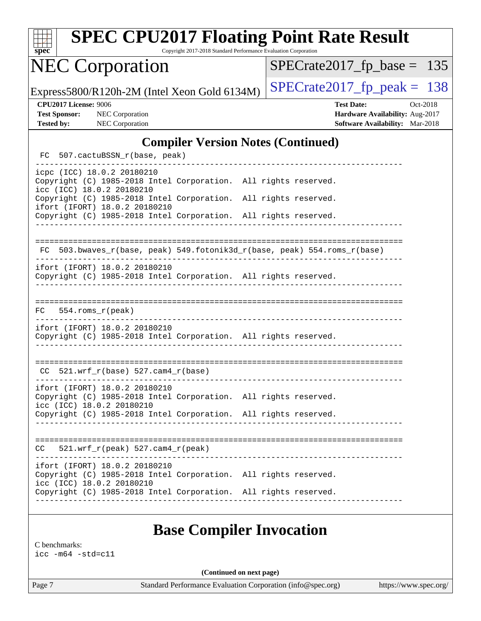| spe<br>Ľ |  |  |  |  |  |
|----------|--|--|--|--|--|

Copyright 2017-2018 Standard Performance Evaluation Corporation

# NEC Corporation

 $SPECTate2017_fp\_base = 135$ 

Express5800/R120h-2M (Intel Xeon Gold 6134M)  $\left|$  [SPECrate2017\\_fp\\_peak =](http://www.spec.org/auto/cpu2017/Docs/result-fields.html#SPECrate2017fppeak) 138

**[CPU2017 License:](http://www.spec.org/auto/cpu2017/Docs/result-fields.html#CPU2017License)** 9006 **[Test Date:](http://www.spec.org/auto/cpu2017/Docs/result-fields.html#TestDate)** Oct-2018 **[Test Sponsor:](http://www.spec.org/auto/cpu2017/Docs/result-fields.html#TestSponsor)** NEC Corporation **[Hardware Availability:](http://www.spec.org/auto/cpu2017/Docs/result-fields.html#HardwareAvailability)** Aug-2017 **[Tested by:](http://www.spec.org/auto/cpu2017/Docs/result-fields.html#Testedby)** NEC Corporation **[Software Availability:](http://www.spec.org/auto/cpu2017/Docs/result-fields.html#SoftwareAvailability)** Mar-2018

#### **[Compiler Version Notes \(Continued\)](http://www.spec.org/auto/cpu2017/Docs/result-fields.html#CompilerVersionNotes)**

FC 507.cactuBSSN r(base, peak) ----------------------------------------------------------------------------- icpc (ICC) 18.0.2 20180210 Copyright (C) 1985-2018 Intel Corporation. All rights reserved. icc (ICC) 18.0.2 20180210 Copyright (C) 1985-2018 Intel Corporation. All rights reserved. ifort (IFORT) 18.0.2 20180210 Copyright (C) 1985-2018 Intel Corporation. All rights reserved. ------------------------------------------------------------------------------ ============================================================================== FC 503.bwaves\_r(base, peak) 549.fotonik3d\_r(base, peak) 554.roms\_r(base) ----------------------------------------------------------------------------- ifort (IFORT) 18.0.2 20180210 Copyright (C) 1985-2018 Intel Corporation. All rights reserved. ------------------------------------------------------------------------------ ============================================================================== FC 554.roms\_r(peak) ----------------------------------------------------------------------------- ifort (IFORT) 18.0.2 20180210 Copyright (C) 1985-2018 Intel Corporation. All rights reserved. ------------------------------------------------------------------------------ ==============================================================================  $CC$  521.wrf $_r(base)$  527.cam $4_r(base)$ ----------------------------------------------------------------------------- ifort (IFORT) 18.0.2 20180210 Copyright (C) 1985-2018 Intel Corporation. All rights reserved. icc (ICC) 18.0.2 20180210 Copyright (C) 1985-2018 Intel Corporation. All rights reserved. ------------------------------------------------------------------------------ ==============================================================================  $CC = 521.wrf_r(peak) 527.cam4_r(peak)$ ----------------------------------------------------------------------------- ifort (IFORT) 18.0.2 20180210 Copyright (C) 1985-2018 Intel Corporation. All rights reserved. icc (ICC) 18.0.2 20180210 Copyright (C) 1985-2018 Intel Corporation. All rights reserved. ------------------------------------------------------------------------------

### **[Base Compiler Invocation](http://www.spec.org/auto/cpu2017/Docs/result-fields.html#BaseCompilerInvocation)**

[C benchmarks:](http://www.spec.org/auto/cpu2017/Docs/result-fields.html#Cbenchmarks) [icc -m64 -std=c11](http://www.spec.org/cpu2017/results/res2018q4/cpu2017-20181029-09341.flags.html#user_CCbase_intel_icc_64bit_c11_33ee0cdaae7deeeab2a9725423ba97205ce30f63b9926c2519791662299b76a0318f32ddfffdc46587804de3178b4f9328c46fa7c2b0cd779d7a61945c91cd35)

**(Continued on next page)**

Page 7 Standard Performance Evaluation Corporation [\(info@spec.org\)](mailto:info@spec.org) <https://www.spec.org/>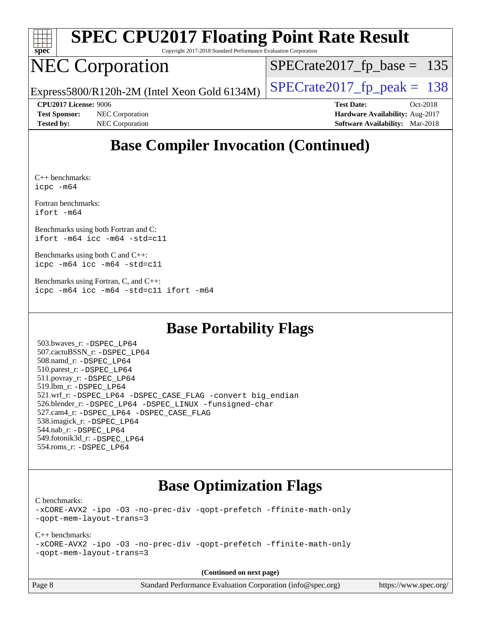

Copyright 2017-2018 Standard Performance Evaluation Corporation

## NEC Corporation

[SPECrate2017\\_fp\\_base =](http://www.spec.org/auto/cpu2017/Docs/result-fields.html#SPECrate2017fpbase) 135

Express5800/R120h-2M (Intel Xeon Gold 6134M)  $\left|$  [SPECrate2017\\_fp\\_peak =](http://www.spec.org/auto/cpu2017/Docs/result-fields.html#SPECrate2017fppeak) 138

**[CPU2017 License:](http://www.spec.org/auto/cpu2017/Docs/result-fields.html#CPU2017License)** 9006 **[Test Date:](http://www.spec.org/auto/cpu2017/Docs/result-fields.html#TestDate)** Oct-2018

**[Test Sponsor:](http://www.spec.org/auto/cpu2017/Docs/result-fields.html#TestSponsor)** NEC Corporation **[Hardware Availability:](http://www.spec.org/auto/cpu2017/Docs/result-fields.html#HardwareAvailability)** Aug-2017 **[Tested by:](http://www.spec.org/auto/cpu2017/Docs/result-fields.html#Testedby)** NEC Corporation **[Software Availability:](http://www.spec.org/auto/cpu2017/Docs/result-fields.html#SoftwareAvailability)** Mar-2018

## **[Base Compiler Invocation \(Continued\)](http://www.spec.org/auto/cpu2017/Docs/result-fields.html#BaseCompilerInvocation)**

[C++ benchmarks](http://www.spec.org/auto/cpu2017/Docs/result-fields.html#CXXbenchmarks): [icpc -m64](http://www.spec.org/cpu2017/results/res2018q4/cpu2017-20181029-09341.flags.html#user_CXXbase_intel_icpc_64bit_4ecb2543ae3f1412ef961e0650ca070fec7b7afdcd6ed48761b84423119d1bf6bdf5cad15b44d48e7256388bc77273b966e5eb805aefd121eb22e9299b2ec9d9)

[Fortran benchmarks](http://www.spec.org/auto/cpu2017/Docs/result-fields.html#Fortranbenchmarks): [ifort -m64](http://www.spec.org/cpu2017/results/res2018q4/cpu2017-20181029-09341.flags.html#user_FCbase_intel_ifort_64bit_24f2bb282fbaeffd6157abe4f878425411749daecae9a33200eee2bee2fe76f3b89351d69a8130dd5949958ce389cf37ff59a95e7a40d588e8d3a57e0c3fd751)

[Benchmarks using both Fortran and C:](http://www.spec.org/auto/cpu2017/Docs/result-fields.html#BenchmarksusingbothFortranandC) [ifort -m64](http://www.spec.org/cpu2017/results/res2018q4/cpu2017-20181029-09341.flags.html#user_CC_FCbase_intel_ifort_64bit_24f2bb282fbaeffd6157abe4f878425411749daecae9a33200eee2bee2fe76f3b89351d69a8130dd5949958ce389cf37ff59a95e7a40d588e8d3a57e0c3fd751) [icc -m64 -std=c11](http://www.spec.org/cpu2017/results/res2018q4/cpu2017-20181029-09341.flags.html#user_CC_FCbase_intel_icc_64bit_c11_33ee0cdaae7deeeab2a9725423ba97205ce30f63b9926c2519791662299b76a0318f32ddfffdc46587804de3178b4f9328c46fa7c2b0cd779d7a61945c91cd35)

[Benchmarks using both C and C++](http://www.spec.org/auto/cpu2017/Docs/result-fields.html#BenchmarksusingbothCandCXX): [icpc -m64](http://www.spec.org/cpu2017/results/res2018q4/cpu2017-20181029-09341.flags.html#user_CC_CXXbase_intel_icpc_64bit_4ecb2543ae3f1412ef961e0650ca070fec7b7afdcd6ed48761b84423119d1bf6bdf5cad15b44d48e7256388bc77273b966e5eb805aefd121eb22e9299b2ec9d9) [icc -m64 -std=c11](http://www.spec.org/cpu2017/results/res2018q4/cpu2017-20181029-09341.flags.html#user_CC_CXXbase_intel_icc_64bit_c11_33ee0cdaae7deeeab2a9725423ba97205ce30f63b9926c2519791662299b76a0318f32ddfffdc46587804de3178b4f9328c46fa7c2b0cd779d7a61945c91cd35)

[Benchmarks using Fortran, C, and C++:](http://www.spec.org/auto/cpu2017/Docs/result-fields.html#BenchmarksusingFortranCandCXX) [icpc -m64](http://www.spec.org/cpu2017/results/res2018q4/cpu2017-20181029-09341.flags.html#user_CC_CXX_FCbase_intel_icpc_64bit_4ecb2543ae3f1412ef961e0650ca070fec7b7afdcd6ed48761b84423119d1bf6bdf5cad15b44d48e7256388bc77273b966e5eb805aefd121eb22e9299b2ec9d9) [icc -m64 -std=c11](http://www.spec.org/cpu2017/results/res2018q4/cpu2017-20181029-09341.flags.html#user_CC_CXX_FCbase_intel_icc_64bit_c11_33ee0cdaae7deeeab2a9725423ba97205ce30f63b9926c2519791662299b76a0318f32ddfffdc46587804de3178b4f9328c46fa7c2b0cd779d7a61945c91cd35) [ifort -m64](http://www.spec.org/cpu2017/results/res2018q4/cpu2017-20181029-09341.flags.html#user_CC_CXX_FCbase_intel_ifort_64bit_24f2bb282fbaeffd6157abe4f878425411749daecae9a33200eee2bee2fe76f3b89351d69a8130dd5949958ce389cf37ff59a95e7a40d588e8d3a57e0c3fd751)

### **[Base Portability Flags](http://www.spec.org/auto/cpu2017/Docs/result-fields.html#BasePortabilityFlags)**

 503.bwaves\_r: [-DSPEC\\_LP64](http://www.spec.org/cpu2017/results/res2018q4/cpu2017-20181029-09341.flags.html#suite_basePORTABILITY503_bwaves_r_DSPEC_LP64) 507.cactuBSSN\_r: [-DSPEC\\_LP64](http://www.spec.org/cpu2017/results/res2018q4/cpu2017-20181029-09341.flags.html#suite_basePORTABILITY507_cactuBSSN_r_DSPEC_LP64) 508.namd\_r: [-DSPEC\\_LP64](http://www.spec.org/cpu2017/results/res2018q4/cpu2017-20181029-09341.flags.html#suite_basePORTABILITY508_namd_r_DSPEC_LP64) 510.parest\_r: [-DSPEC\\_LP64](http://www.spec.org/cpu2017/results/res2018q4/cpu2017-20181029-09341.flags.html#suite_basePORTABILITY510_parest_r_DSPEC_LP64) 511.povray\_r: [-DSPEC\\_LP64](http://www.spec.org/cpu2017/results/res2018q4/cpu2017-20181029-09341.flags.html#suite_basePORTABILITY511_povray_r_DSPEC_LP64) 519.lbm\_r: [-DSPEC\\_LP64](http://www.spec.org/cpu2017/results/res2018q4/cpu2017-20181029-09341.flags.html#suite_basePORTABILITY519_lbm_r_DSPEC_LP64) 521.wrf\_r: [-DSPEC\\_LP64](http://www.spec.org/cpu2017/results/res2018q4/cpu2017-20181029-09341.flags.html#suite_basePORTABILITY521_wrf_r_DSPEC_LP64) [-DSPEC\\_CASE\\_FLAG](http://www.spec.org/cpu2017/results/res2018q4/cpu2017-20181029-09341.flags.html#b521.wrf_r_baseCPORTABILITY_DSPEC_CASE_FLAG) [-convert big\\_endian](http://www.spec.org/cpu2017/results/res2018q4/cpu2017-20181029-09341.flags.html#user_baseFPORTABILITY521_wrf_r_convert_big_endian_c3194028bc08c63ac5d04de18c48ce6d347e4e562e8892b8bdbdc0214820426deb8554edfa529a3fb25a586e65a3d812c835984020483e7e73212c4d31a38223) 526.blender\_r: [-DSPEC\\_LP64](http://www.spec.org/cpu2017/results/res2018q4/cpu2017-20181029-09341.flags.html#suite_basePORTABILITY526_blender_r_DSPEC_LP64) [-DSPEC\\_LINUX](http://www.spec.org/cpu2017/results/res2018q4/cpu2017-20181029-09341.flags.html#b526.blender_r_baseCPORTABILITY_DSPEC_LINUX) [-funsigned-char](http://www.spec.org/cpu2017/results/res2018q4/cpu2017-20181029-09341.flags.html#user_baseCPORTABILITY526_blender_r_force_uchar_40c60f00ab013830e2dd6774aeded3ff59883ba5a1fc5fc14077f794d777847726e2a5858cbc7672e36e1b067e7e5c1d9a74f7176df07886a243d7cc18edfe67) 527.cam4\_r: [-DSPEC\\_LP64](http://www.spec.org/cpu2017/results/res2018q4/cpu2017-20181029-09341.flags.html#suite_basePORTABILITY527_cam4_r_DSPEC_LP64) [-DSPEC\\_CASE\\_FLAG](http://www.spec.org/cpu2017/results/res2018q4/cpu2017-20181029-09341.flags.html#b527.cam4_r_baseCPORTABILITY_DSPEC_CASE_FLAG) 538.imagick\_r: [-DSPEC\\_LP64](http://www.spec.org/cpu2017/results/res2018q4/cpu2017-20181029-09341.flags.html#suite_basePORTABILITY538_imagick_r_DSPEC_LP64) 544.nab\_r: [-DSPEC\\_LP64](http://www.spec.org/cpu2017/results/res2018q4/cpu2017-20181029-09341.flags.html#suite_basePORTABILITY544_nab_r_DSPEC_LP64) 549.fotonik3d\_r: [-DSPEC\\_LP64](http://www.spec.org/cpu2017/results/res2018q4/cpu2017-20181029-09341.flags.html#suite_basePORTABILITY549_fotonik3d_r_DSPEC_LP64) 554.roms\_r: [-DSPEC\\_LP64](http://www.spec.org/cpu2017/results/res2018q4/cpu2017-20181029-09341.flags.html#suite_basePORTABILITY554_roms_r_DSPEC_LP64)

### **[Base Optimization Flags](http://www.spec.org/auto/cpu2017/Docs/result-fields.html#BaseOptimizationFlags)**

[C benchmarks](http://www.spec.org/auto/cpu2017/Docs/result-fields.html#Cbenchmarks):

[-xCORE-AVX2](http://www.spec.org/cpu2017/results/res2018q4/cpu2017-20181029-09341.flags.html#user_CCbase_f-xCORE-AVX2) [-ipo](http://www.spec.org/cpu2017/results/res2018q4/cpu2017-20181029-09341.flags.html#user_CCbase_f-ipo) [-O3](http://www.spec.org/cpu2017/results/res2018q4/cpu2017-20181029-09341.flags.html#user_CCbase_f-O3) [-no-prec-div](http://www.spec.org/cpu2017/results/res2018q4/cpu2017-20181029-09341.flags.html#user_CCbase_f-no-prec-div) [-qopt-prefetch](http://www.spec.org/cpu2017/results/res2018q4/cpu2017-20181029-09341.flags.html#user_CCbase_f-qopt-prefetch) [-ffinite-math-only](http://www.spec.org/cpu2017/results/res2018q4/cpu2017-20181029-09341.flags.html#user_CCbase_f_finite_math_only_cb91587bd2077682c4b38af759c288ed7c732db004271a9512da14a4f8007909a5f1427ecbf1a0fb78ff2a814402c6114ac565ca162485bbcae155b5e4258871) [-qopt-mem-layout-trans=3](http://www.spec.org/cpu2017/results/res2018q4/cpu2017-20181029-09341.flags.html#user_CCbase_f-qopt-mem-layout-trans_de80db37974c74b1f0e20d883f0b675c88c3b01e9d123adea9b28688d64333345fb62bc4a798493513fdb68f60282f9a726aa07f478b2f7113531aecce732043)

#### [C++ benchmarks:](http://www.spec.org/auto/cpu2017/Docs/result-fields.html#CXXbenchmarks)

[-xCORE-AVX2](http://www.spec.org/cpu2017/results/res2018q4/cpu2017-20181029-09341.flags.html#user_CXXbase_f-xCORE-AVX2) [-ipo](http://www.spec.org/cpu2017/results/res2018q4/cpu2017-20181029-09341.flags.html#user_CXXbase_f-ipo) [-O3](http://www.spec.org/cpu2017/results/res2018q4/cpu2017-20181029-09341.flags.html#user_CXXbase_f-O3) [-no-prec-div](http://www.spec.org/cpu2017/results/res2018q4/cpu2017-20181029-09341.flags.html#user_CXXbase_f-no-prec-div) [-qopt-prefetch](http://www.spec.org/cpu2017/results/res2018q4/cpu2017-20181029-09341.flags.html#user_CXXbase_f-qopt-prefetch) [-ffinite-math-only](http://www.spec.org/cpu2017/results/res2018q4/cpu2017-20181029-09341.flags.html#user_CXXbase_f_finite_math_only_cb91587bd2077682c4b38af759c288ed7c732db004271a9512da14a4f8007909a5f1427ecbf1a0fb78ff2a814402c6114ac565ca162485bbcae155b5e4258871) [-qopt-mem-layout-trans=3](http://www.spec.org/cpu2017/results/res2018q4/cpu2017-20181029-09341.flags.html#user_CXXbase_f-qopt-mem-layout-trans_de80db37974c74b1f0e20d883f0b675c88c3b01e9d123adea9b28688d64333345fb62bc4a798493513fdb68f60282f9a726aa07f478b2f7113531aecce732043)

**(Continued on next page)**

Page 8 Standard Performance Evaluation Corporation [\(info@spec.org\)](mailto:info@spec.org) <https://www.spec.org/>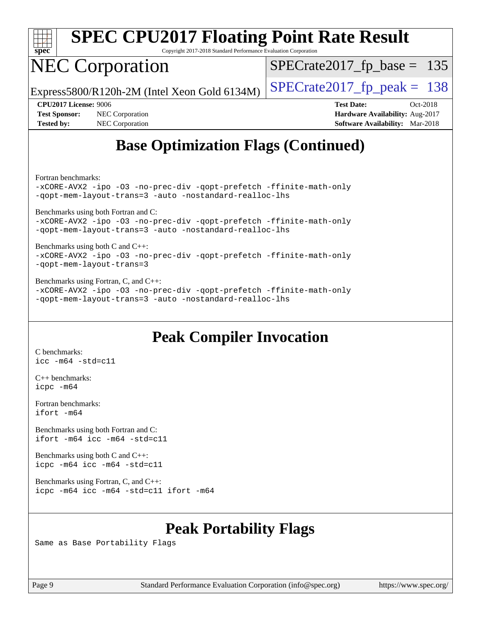

Copyright 2017-2018 Standard Performance Evaluation Corporation

## NEC Corporation

 $SPECTate2017_fp\_base = 135$ 

Express5800/R120h-2M (Intel Xeon Gold 6134M)  $\left|$  [SPECrate2017\\_fp\\_peak =](http://www.spec.org/auto/cpu2017/Docs/result-fields.html#SPECrate2017fppeak) 138

**[Test Sponsor:](http://www.spec.org/auto/cpu2017/Docs/result-fields.html#TestSponsor)** NEC Corporation **[Hardware Availability:](http://www.spec.org/auto/cpu2017/Docs/result-fields.html#HardwareAvailability)** Aug-2017 [Tested by:](http://www.spec.org/auto/cpu2017/Docs/result-fields.html#Testedby) NEC Corporation **[Software Availability:](http://www.spec.org/auto/cpu2017/Docs/result-fields.html#SoftwareAvailability)** Mar-2018

**[CPU2017 License:](http://www.spec.org/auto/cpu2017/Docs/result-fields.html#CPU2017License)** 9006 **[Test Date:](http://www.spec.org/auto/cpu2017/Docs/result-fields.html#TestDate)** Oct-2018

## **[Base Optimization Flags \(Continued\)](http://www.spec.org/auto/cpu2017/Docs/result-fields.html#BaseOptimizationFlags)**

[Fortran benchmarks](http://www.spec.org/auto/cpu2017/Docs/result-fields.html#Fortranbenchmarks):

[-xCORE-AVX2](http://www.spec.org/cpu2017/results/res2018q4/cpu2017-20181029-09341.flags.html#user_FCbase_f-xCORE-AVX2) [-ipo](http://www.spec.org/cpu2017/results/res2018q4/cpu2017-20181029-09341.flags.html#user_FCbase_f-ipo) [-O3](http://www.spec.org/cpu2017/results/res2018q4/cpu2017-20181029-09341.flags.html#user_FCbase_f-O3) [-no-prec-div](http://www.spec.org/cpu2017/results/res2018q4/cpu2017-20181029-09341.flags.html#user_FCbase_f-no-prec-div) [-qopt-prefetch](http://www.spec.org/cpu2017/results/res2018q4/cpu2017-20181029-09341.flags.html#user_FCbase_f-qopt-prefetch) [-ffinite-math-only](http://www.spec.org/cpu2017/results/res2018q4/cpu2017-20181029-09341.flags.html#user_FCbase_f_finite_math_only_cb91587bd2077682c4b38af759c288ed7c732db004271a9512da14a4f8007909a5f1427ecbf1a0fb78ff2a814402c6114ac565ca162485bbcae155b5e4258871) [-qopt-mem-layout-trans=3](http://www.spec.org/cpu2017/results/res2018q4/cpu2017-20181029-09341.flags.html#user_FCbase_f-qopt-mem-layout-trans_de80db37974c74b1f0e20d883f0b675c88c3b01e9d123adea9b28688d64333345fb62bc4a798493513fdb68f60282f9a726aa07f478b2f7113531aecce732043) [-auto](http://www.spec.org/cpu2017/results/res2018q4/cpu2017-20181029-09341.flags.html#user_FCbase_f-auto) [-nostandard-realloc-lhs](http://www.spec.org/cpu2017/results/res2018q4/cpu2017-20181029-09341.flags.html#user_FCbase_f_2003_std_realloc_82b4557e90729c0f113870c07e44d33d6f5a304b4f63d4c15d2d0f1fab99f5daaed73bdb9275d9ae411527f28b936061aa8b9c8f2d63842963b95c9dd6426b8a)

[Benchmarks using both Fortran and C](http://www.spec.org/auto/cpu2017/Docs/result-fields.html#BenchmarksusingbothFortranandC):

[-xCORE-AVX2](http://www.spec.org/cpu2017/results/res2018q4/cpu2017-20181029-09341.flags.html#user_CC_FCbase_f-xCORE-AVX2) [-ipo](http://www.spec.org/cpu2017/results/res2018q4/cpu2017-20181029-09341.flags.html#user_CC_FCbase_f-ipo) [-O3](http://www.spec.org/cpu2017/results/res2018q4/cpu2017-20181029-09341.flags.html#user_CC_FCbase_f-O3) [-no-prec-div](http://www.spec.org/cpu2017/results/res2018q4/cpu2017-20181029-09341.flags.html#user_CC_FCbase_f-no-prec-div) [-qopt-prefetch](http://www.spec.org/cpu2017/results/res2018q4/cpu2017-20181029-09341.flags.html#user_CC_FCbase_f-qopt-prefetch) [-ffinite-math-only](http://www.spec.org/cpu2017/results/res2018q4/cpu2017-20181029-09341.flags.html#user_CC_FCbase_f_finite_math_only_cb91587bd2077682c4b38af759c288ed7c732db004271a9512da14a4f8007909a5f1427ecbf1a0fb78ff2a814402c6114ac565ca162485bbcae155b5e4258871) [-qopt-mem-layout-trans=3](http://www.spec.org/cpu2017/results/res2018q4/cpu2017-20181029-09341.flags.html#user_CC_FCbase_f-qopt-mem-layout-trans_de80db37974c74b1f0e20d883f0b675c88c3b01e9d123adea9b28688d64333345fb62bc4a798493513fdb68f60282f9a726aa07f478b2f7113531aecce732043) [-auto](http://www.spec.org/cpu2017/results/res2018q4/cpu2017-20181029-09341.flags.html#user_CC_FCbase_f-auto) [-nostandard-realloc-lhs](http://www.spec.org/cpu2017/results/res2018q4/cpu2017-20181029-09341.flags.html#user_CC_FCbase_f_2003_std_realloc_82b4557e90729c0f113870c07e44d33d6f5a304b4f63d4c15d2d0f1fab99f5daaed73bdb9275d9ae411527f28b936061aa8b9c8f2d63842963b95c9dd6426b8a)

[Benchmarks using both C and C++](http://www.spec.org/auto/cpu2017/Docs/result-fields.html#BenchmarksusingbothCandCXX): [-xCORE-AVX2](http://www.spec.org/cpu2017/results/res2018q4/cpu2017-20181029-09341.flags.html#user_CC_CXXbase_f-xCORE-AVX2) [-ipo](http://www.spec.org/cpu2017/results/res2018q4/cpu2017-20181029-09341.flags.html#user_CC_CXXbase_f-ipo) [-O3](http://www.spec.org/cpu2017/results/res2018q4/cpu2017-20181029-09341.flags.html#user_CC_CXXbase_f-O3) [-no-prec-div](http://www.spec.org/cpu2017/results/res2018q4/cpu2017-20181029-09341.flags.html#user_CC_CXXbase_f-no-prec-div) [-qopt-prefetch](http://www.spec.org/cpu2017/results/res2018q4/cpu2017-20181029-09341.flags.html#user_CC_CXXbase_f-qopt-prefetch) [-ffinite-math-only](http://www.spec.org/cpu2017/results/res2018q4/cpu2017-20181029-09341.flags.html#user_CC_CXXbase_f_finite_math_only_cb91587bd2077682c4b38af759c288ed7c732db004271a9512da14a4f8007909a5f1427ecbf1a0fb78ff2a814402c6114ac565ca162485bbcae155b5e4258871) [-qopt-mem-layout-trans=3](http://www.spec.org/cpu2017/results/res2018q4/cpu2017-20181029-09341.flags.html#user_CC_CXXbase_f-qopt-mem-layout-trans_de80db37974c74b1f0e20d883f0b675c88c3b01e9d123adea9b28688d64333345fb62bc4a798493513fdb68f60282f9a726aa07f478b2f7113531aecce732043)

[Benchmarks using Fortran, C, and C++:](http://www.spec.org/auto/cpu2017/Docs/result-fields.html#BenchmarksusingFortranCandCXX) [-xCORE-AVX2](http://www.spec.org/cpu2017/results/res2018q4/cpu2017-20181029-09341.flags.html#user_CC_CXX_FCbase_f-xCORE-AVX2) [-ipo](http://www.spec.org/cpu2017/results/res2018q4/cpu2017-20181029-09341.flags.html#user_CC_CXX_FCbase_f-ipo) [-O3](http://www.spec.org/cpu2017/results/res2018q4/cpu2017-20181029-09341.flags.html#user_CC_CXX_FCbase_f-O3) [-no-prec-div](http://www.spec.org/cpu2017/results/res2018q4/cpu2017-20181029-09341.flags.html#user_CC_CXX_FCbase_f-no-prec-div) [-qopt-prefetch](http://www.spec.org/cpu2017/results/res2018q4/cpu2017-20181029-09341.flags.html#user_CC_CXX_FCbase_f-qopt-prefetch) [-ffinite-math-only](http://www.spec.org/cpu2017/results/res2018q4/cpu2017-20181029-09341.flags.html#user_CC_CXX_FCbase_f_finite_math_only_cb91587bd2077682c4b38af759c288ed7c732db004271a9512da14a4f8007909a5f1427ecbf1a0fb78ff2a814402c6114ac565ca162485bbcae155b5e4258871) [-qopt-mem-layout-trans=3](http://www.spec.org/cpu2017/results/res2018q4/cpu2017-20181029-09341.flags.html#user_CC_CXX_FCbase_f-qopt-mem-layout-trans_de80db37974c74b1f0e20d883f0b675c88c3b01e9d123adea9b28688d64333345fb62bc4a798493513fdb68f60282f9a726aa07f478b2f7113531aecce732043) [-auto](http://www.spec.org/cpu2017/results/res2018q4/cpu2017-20181029-09341.flags.html#user_CC_CXX_FCbase_f-auto) [-nostandard-realloc-lhs](http://www.spec.org/cpu2017/results/res2018q4/cpu2017-20181029-09341.flags.html#user_CC_CXX_FCbase_f_2003_std_realloc_82b4557e90729c0f113870c07e44d33d6f5a304b4f63d4c15d2d0f1fab99f5daaed73bdb9275d9ae411527f28b936061aa8b9c8f2d63842963b95c9dd6426b8a)

### **[Peak Compiler Invocation](http://www.spec.org/auto/cpu2017/Docs/result-fields.html#PeakCompilerInvocation)**

[C benchmarks](http://www.spec.org/auto/cpu2017/Docs/result-fields.html#Cbenchmarks): [icc -m64 -std=c11](http://www.spec.org/cpu2017/results/res2018q4/cpu2017-20181029-09341.flags.html#user_CCpeak_intel_icc_64bit_c11_33ee0cdaae7deeeab2a9725423ba97205ce30f63b9926c2519791662299b76a0318f32ddfffdc46587804de3178b4f9328c46fa7c2b0cd779d7a61945c91cd35)

[C++ benchmarks:](http://www.spec.org/auto/cpu2017/Docs/result-fields.html#CXXbenchmarks) [icpc -m64](http://www.spec.org/cpu2017/results/res2018q4/cpu2017-20181029-09341.flags.html#user_CXXpeak_intel_icpc_64bit_4ecb2543ae3f1412ef961e0650ca070fec7b7afdcd6ed48761b84423119d1bf6bdf5cad15b44d48e7256388bc77273b966e5eb805aefd121eb22e9299b2ec9d9)

[Fortran benchmarks](http://www.spec.org/auto/cpu2017/Docs/result-fields.html#Fortranbenchmarks): [ifort -m64](http://www.spec.org/cpu2017/results/res2018q4/cpu2017-20181029-09341.flags.html#user_FCpeak_intel_ifort_64bit_24f2bb282fbaeffd6157abe4f878425411749daecae9a33200eee2bee2fe76f3b89351d69a8130dd5949958ce389cf37ff59a95e7a40d588e8d3a57e0c3fd751)

[Benchmarks using both Fortran and C](http://www.spec.org/auto/cpu2017/Docs/result-fields.html#BenchmarksusingbothFortranandC): [ifort -m64](http://www.spec.org/cpu2017/results/res2018q4/cpu2017-20181029-09341.flags.html#user_CC_FCpeak_intel_ifort_64bit_24f2bb282fbaeffd6157abe4f878425411749daecae9a33200eee2bee2fe76f3b89351d69a8130dd5949958ce389cf37ff59a95e7a40d588e8d3a57e0c3fd751) [icc -m64 -std=c11](http://www.spec.org/cpu2017/results/res2018q4/cpu2017-20181029-09341.flags.html#user_CC_FCpeak_intel_icc_64bit_c11_33ee0cdaae7deeeab2a9725423ba97205ce30f63b9926c2519791662299b76a0318f32ddfffdc46587804de3178b4f9328c46fa7c2b0cd779d7a61945c91cd35)

[Benchmarks using both C and C++](http://www.spec.org/auto/cpu2017/Docs/result-fields.html#BenchmarksusingbothCandCXX): [icpc -m64](http://www.spec.org/cpu2017/results/res2018q4/cpu2017-20181029-09341.flags.html#user_CC_CXXpeak_intel_icpc_64bit_4ecb2543ae3f1412ef961e0650ca070fec7b7afdcd6ed48761b84423119d1bf6bdf5cad15b44d48e7256388bc77273b966e5eb805aefd121eb22e9299b2ec9d9) [icc -m64 -std=c11](http://www.spec.org/cpu2017/results/res2018q4/cpu2017-20181029-09341.flags.html#user_CC_CXXpeak_intel_icc_64bit_c11_33ee0cdaae7deeeab2a9725423ba97205ce30f63b9926c2519791662299b76a0318f32ddfffdc46587804de3178b4f9328c46fa7c2b0cd779d7a61945c91cd35)

[Benchmarks using Fortran, C, and C++:](http://www.spec.org/auto/cpu2017/Docs/result-fields.html#BenchmarksusingFortranCandCXX) [icpc -m64](http://www.spec.org/cpu2017/results/res2018q4/cpu2017-20181029-09341.flags.html#user_CC_CXX_FCpeak_intel_icpc_64bit_4ecb2543ae3f1412ef961e0650ca070fec7b7afdcd6ed48761b84423119d1bf6bdf5cad15b44d48e7256388bc77273b966e5eb805aefd121eb22e9299b2ec9d9) [icc -m64 -std=c11](http://www.spec.org/cpu2017/results/res2018q4/cpu2017-20181029-09341.flags.html#user_CC_CXX_FCpeak_intel_icc_64bit_c11_33ee0cdaae7deeeab2a9725423ba97205ce30f63b9926c2519791662299b76a0318f32ddfffdc46587804de3178b4f9328c46fa7c2b0cd779d7a61945c91cd35) [ifort -m64](http://www.spec.org/cpu2017/results/res2018q4/cpu2017-20181029-09341.flags.html#user_CC_CXX_FCpeak_intel_ifort_64bit_24f2bb282fbaeffd6157abe4f878425411749daecae9a33200eee2bee2fe76f3b89351d69a8130dd5949958ce389cf37ff59a95e7a40d588e8d3a57e0c3fd751)

### **[Peak Portability Flags](http://www.spec.org/auto/cpu2017/Docs/result-fields.html#PeakPortabilityFlags)**

Same as Base Portability Flags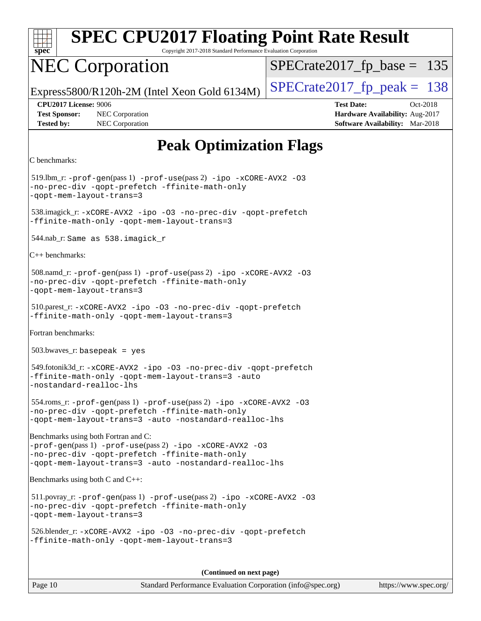| spec |  |  |  |  |  |
|------|--|--|--|--|--|

Copyright 2017-2018 Standard Performance Evaluation Corporation

## NEC Corporation

 $SPECTate2017_fp\_base = 135$ 

Express5800/R120h-2M (Intel Xeon Gold 6134M)  $\left|$  [SPECrate2017\\_fp\\_peak =](http://www.spec.org/auto/cpu2017/Docs/result-fields.html#SPECrate2017fppeak) 138

**[Tested by:](http://www.spec.org/auto/cpu2017/Docs/result-fields.html#Testedby)** NEC Corporation **[Software Availability:](http://www.spec.org/auto/cpu2017/Docs/result-fields.html#SoftwareAvailability)** Mar-2018

**[CPU2017 License:](http://www.spec.org/auto/cpu2017/Docs/result-fields.html#CPU2017License)** 9006 **[Test Date:](http://www.spec.org/auto/cpu2017/Docs/result-fields.html#TestDate)** Oct-2018 **[Test Sponsor:](http://www.spec.org/auto/cpu2017/Docs/result-fields.html#TestSponsor)** NEC Corporation **[Hardware Availability:](http://www.spec.org/auto/cpu2017/Docs/result-fields.html#HardwareAvailability)** Aug-2017

## **[Peak Optimization Flags](http://www.spec.org/auto/cpu2017/Docs/result-fields.html#PeakOptimizationFlags)**

```
C benchmarks:
```
 519.lbm\_r: [-prof-gen](http://www.spec.org/cpu2017/results/res2018q4/cpu2017-20181029-09341.flags.html#user_peakPASS1_CFLAGSPASS1_LDFLAGS519_lbm_r_prof_gen_5aa4926d6013ddb2a31985c654b3eb18169fc0c6952a63635c234f711e6e63dd76e94ad52365559451ec499a2cdb89e4dc58ba4c67ef54ca681ffbe1461d6b36)(pass 1) [-prof-use](http://www.spec.org/cpu2017/results/res2018q4/cpu2017-20181029-09341.flags.html#user_peakPASS2_CFLAGSPASS2_LDFLAGS519_lbm_r_prof_use_1a21ceae95f36a2b53c25747139a6c16ca95bd9def2a207b4f0849963b97e94f5260e30a0c64f4bb623698870e679ca08317ef8150905d41bd88c6f78df73f19)(pass 2) [-ipo](http://www.spec.org/cpu2017/results/res2018q4/cpu2017-20181029-09341.flags.html#user_peakPASS1_COPTIMIZEPASS2_COPTIMIZE519_lbm_r_f-ipo) [-xCORE-AVX2](http://www.spec.org/cpu2017/results/res2018q4/cpu2017-20181029-09341.flags.html#user_peakPASS2_COPTIMIZE519_lbm_r_f-xCORE-AVX2) [-O3](http://www.spec.org/cpu2017/results/res2018q4/cpu2017-20181029-09341.flags.html#user_peakPASS1_COPTIMIZEPASS2_COPTIMIZE519_lbm_r_f-O3) [-no-prec-div](http://www.spec.org/cpu2017/results/res2018q4/cpu2017-20181029-09341.flags.html#user_peakPASS1_COPTIMIZEPASS2_COPTIMIZE519_lbm_r_f-no-prec-div) [-qopt-prefetch](http://www.spec.org/cpu2017/results/res2018q4/cpu2017-20181029-09341.flags.html#user_peakPASS1_COPTIMIZEPASS2_COPTIMIZE519_lbm_r_f-qopt-prefetch) [-ffinite-math-only](http://www.spec.org/cpu2017/results/res2018q4/cpu2017-20181029-09341.flags.html#user_peakPASS1_COPTIMIZEPASS2_COPTIMIZE519_lbm_r_f_finite_math_only_cb91587bd2077682c4b38af759c288ed7c732db004271a9512da14a4f8007909a5f1427ecbf1a0fb78ff2a814402c6114ac565ca162485bbcae155b5e4258871) [-qopt-mem-layout-trans=3](http://www.spec.org/cpu2017/results/res2018q4/cpu2017-20181029-09341.flags.html#user_peakPASS1_COPTIMIZEPASS2_COPTIMIZE519_lbm_r_f-qopt-mem-layout-trans_de80db37974c74b1f0e20d883f0b675c88c3b01e9d123adea9b28688d64333345fb62bc4a798493513fdb68f60282f9a726aa07f478b2f7113531aecce732043) 538.imagick\_r: [-xCORE-AVX2](http://www.spec.org/cpu2017/results/res2018q4/cpu2017-20181029-09341.flags.html#user_peakCOPTIMIZE538_imagick_r_f-xCORE-AVX2) [-ipo](http://www.spec.org/cpu2017/results/res2018q4/cpu2017-20181029-09341.flags.html#user_peakCOPTIMIZE538_imagick_r_f-ipo) [-O3](http://www.spec.org/cpu2017/results/res2018q4/cpu2017-20181029-09341.flags.html#user_peakCOPTIMIZE538_imagick_r_f-O3) [-no-prec-div](http://www.spec.org/cpu2017/results/res2018q4/cpu2017-20181029-09341.flags.html#user_peakCOPTIMIZE538_imagick_r_f-no-prec-div) [-qopt-prefetch](http://www.spec.org/cpu2017/results/res2018q4/cpu2017-20181029-09341.flags.html#user_peakCOPTIMIZE538_imagick_r_f-qopt-prefetch) [-ffinite-math-only](http://www.spec.org/cpu2017/results/res2018q4/cpu2017-20181029-09341.flags.html#user_peakCOPTIMIZE538_imagick_r_f_finite_math_only_cb91587bd2077682c4b38af759c288ed7c732db004271a9512da14a4f8007909a5f1427ecbf1a0fb78ff2a814402c6114ac565ca162485bbcae155b5e4258871) [-qopt-mem-layout-trans=3](http://www.spec.org/cpu2017/results/res2018q4/cpu2017-20181029-09341.flags.html#user_peakCOPTIMIZE538_imagick_r_f-qopt-mem-layout-trans_de80db37974c74b1f0e20d883f0b675c88c3b01e9d123adea9b28688d64333345fb62bc4a798493513fdb68f60282f9a726aa07f478b2f7113531aecce732043) 544.nab\_r: Same as 538.imagick\_r [C++ benchmarks](http://www.spec.org/auto/cpu2017/Docs/result-fields.html#CXXbenchmarks): 508.namd\_r: [-prof-gen](http://www.spec.org/cpu2017/results/res2018q4/cpu2017-20181029-09341.flags.html#user_peakPASS1_CXXFLAGSPASS1_LDFLAGS508_namd_r_prof_gen_5aa4926d6013ddb2a31985c654b3eb18169fc0c6952a63635c234f711e6e63dd76e94ad52365559451ec499a2cdb89e4dc58ba4c67ef54ca681ffbe1461d6b36)(pass 1) [-prof-use](http://www.spec.org/cpu2017/results/res2018q4/cpu2017-20181029-09341.flags.html#user_peakPASS2_CXXFLAGSPASS2_LDFLAGS508_namd_r_prof_use_1a21ceae95f36a2b53c25747139a6c16ca95bd9def2a207b4f0849963b97e94f5260e30a0c64f4bb623698870e679ca08317ef8150905d41bd88c6f78df73f19)(pass 2) [-ipo](http://www.spec.org/cpu2017/results/res2018q4/cpu2017-20181029-09341.flags.html#user_peakPASS1_CXXOPTIMIZEPASS2_CXXOPTIMIZE508_namd_r_f-ipo) [-xCORE-AVX2](http://www.spec.org/cpu2017/results/res2018q4/cpu2017-20181029-09341.flags.html#user_peakPASS2_CXXOPTIMIZE508_namd_r_f-xCORE-AVX2) [-O3](http://www.spec.org/cpu2017/results/res2018q4/cpu2017-20181029-09341.flags.html#user_peakPASS1_CXXOPTIMIZEPASS2_CXXOPTIMIZE508_namd_r_f-O3) [-no-prec-div](http://www.spec.org/cpu2017/results/res2018q4/cpu2017-20181029-09341.flags.html#user_peakPASS1_CXXOPTIMIZEPASS2_CXXOPTIMIZE508_namd_r_f-no-prec-div) [-qopt-prefetch](http://www.spec.org/cpu2017/results/res2018q4/cpu2017-20181029-09341.flags.html#user_peakPASS1_CXXOPTIMIZEPASS2_CXXOPTIMIZE508_namd_r_f-qopt-prefetch) [-ffinite-math-only](http://www.spec.org/cpu2017/results/res2018q4/cpu2017-20181029-09341.flags.html#user_peakPASS1_CXXOPTIMIZEPASS2_CXXOPTIMIZE508_namd_r_f_finite_math_only_cb91587bd2077682c4b38af759c288ed7c732db004271a9512da14a4f8007909a5f1427ecbf1a0fb78ff2a814402c6114ac565ca162485bbcae155b5e4258871) [-qopt-mem-layout-trans=3](http://www.spec.org/cpu2017/results/res2018q4/cpu2017-20181029-09341.flags.html#user_peakPASS1_CXXOPTIMIZEPASS2_CXXOPTIMIZE508_namd_r_f-qopt-mem-layout-trans_de80db37974c74b1f0e20d883f0b675c88c3b01e9d123adea9b28688d64333345fb62bc4a798493513fdb68f60282f9a726aa07f478b2f7113531aecce732043) 510.parest\_r: [-xCORE-AVX2](http://www.spec.org/cpu2017/results/res2018q4/cpu2017-20181029-09341.flags.html#user_peakCXXOPTIMIZE510_parest_r_f-xCORE-AVX2) [-ipo](http://www.spec.org/cpu2017/results/res2018q4/cpu2017-20181029-09341.flags.html#user_peakCXXOPTIMIZE510_parest_r_f-ipo) [-O3](http://www.spec.org/cpu2017/results/res2018q4/cpu2017-20181029-09341.flags.html#user_peakCXXOPTIMIZE510_parest_r_f-O3) [-no-prec-div](http://www.spec.org/cpu2017/results/res2018q4/cpu2017-20181029-09341.flags.html#user_peakCXXOPTIMIZE510_parest_r_f-no-prec-div) [-qopt-prefetch](http://www.spec.org/cpu2017/results/res2018q4/cpu2017-20181029-09341.flags.html#user_peakCXXOPTIMIZE510_parest_r_f-qopt-prefetch) [-ffinite-math-only](http://www.spec.org/cpu2017/results/res2018q4/cpu2017-20181029-09341.flags.html#user_peakCXXOPTIMIZE510_parest_r_f_finite_math_only_cb91587bd2077682c4b38af759c288ed7c732db004271a9512da14a4f8007909a5f1427ecbf1a0fb78ff2a814402c6114ac565ca162485bbcae155b5e4258871) [-qopt-mem-layout-trans=3](http://www.spec.org/cpu2017/results/res2018q4/cpu2017-20181029-09341.flags.html#user_peakCXXOPTIMIZE510_parest_r_f-qopt-mem-layout-trans_de80db37974c74b1f0e20d883f0b675c88c3b01e9d123adea9b28688d64333345fb62bc4a798493513fdb68f60282f9a726aa07f478b2f7113531aecce732043) [Fortran benchmarks:](http://www.spec.org/auto/cpu2017/Docs/result-fields.html#Fortranbenchmarks) 503.bwaves\_r: basepeak = yes 549.fotonik3d\_r: [-xCORE-AVX2](http://www.spec.org/cpu2017/results/res2018q4/cpu2017-20181029-09341.flags.html#user_peakFOPTIMIZE549_fotonik3d_r_f-xCORE-AVX2) [-ipo](http://www.spec.org/cpu2017/results/res2018q4/cpu2017-20181029-09341.flags.html#user_peakFOPTIMIZE549_fotonik3d_r_f-ipo) [-O3](http://www.spec.org/cpu2017/results/res2018q4/cpu2017-20181029-09341.flags.html#user_peakFOPTIMIZE549_fotonik3d_r_f-O3) [-no-prec-div](http://www.spec.org/cpu2017/results/res2018q4/cpu2017-20181029-09341.flags.html#user_peakFOPTIMIZE549_fotonik3d_r_f-no-prec-div) [-qopt-prefetch](http://www.spec.org/cpu2017/results/res2018q4/cpu2017-20181029-09341.flags.html#user_peakFOPTIMIZE549_fotonik3d_r_f-qopt-prefetch) [-ffinite-math-only](http://www.spec.org/cpu2017/results/res2018q4/cpu2017-20181029-09341.flags.html#user_peakFOPTIMIZE549_fotonik3d_r_f_finite_math_only_cb91587bd2077682c4b38af759c288ed7c732db004271a9512da14a4f8007909a5f1427ecbf1a0fb78ff2a814402c6114ac565ca162485bbcae155b5e4258871) [-qopt-mem-layout-trans=3](http://www.spec.org/cpu2017/results/res2018q4/cpu2017-20181029-09341.flags.html#user_peakFOPTIMIZE549_fotonik3d_r_f-qopt-mem-layout-trans_de80db37974c74b1f0e20d883f0b675c88c3b01e9d123adea9b28688d64333345fb62bc4a798493513fdb68f60282f9a726aa07f478b2f7113531aecce732043) [-auto](http://www.spec.org/cpu2017/results/res2018q4/cpu2017-20181029-09341.flags.html#user_peakFOPTIMIZE549_fotonik3d_r_f-auto) [-nostandard-realloc-lhs](http://www.spec.org/cpu2017/results/res2018q4/cpu2017-20181029-09341.flags.html#user_peakEXTRA_FOPTIMIZE549_fotonik3d_r_f_2003_std_realloc_82b4557e90729c0f113870c07e44d33d6f5a304b4f63d4c15d2d0f1fab99f5daaed73bdb9275d9ae411527f28b936061aa8b9c8f2d63842963b95c9dd6426b8a) 554.roms\_r: [-prof-gen](http://www.spec.org/cpu2017/results/res2018q4/cpu2017-20181029-09341.flags.html#user_peakPASS1_FFLAGSPASS1_LDFLAGS554_roms_r_prof_gen_5aa4926d6013ddb2a31985c654b3eb18169fc0c6952a63635c234f711e6e63dd76e94ad52365559451ec499a2cdb89e4dc58ba4c67ef54ca681ffbe1461d6b36)(pass 1) [-prof-use](http://www.spec.org/cpu2017/results/res2018q4/cpu2017-20181029-09341.flags.html#user_peakPASS2_FFLAGSPASS2_LDFLAGS554_roms_r_prof_use_1a21ceae95f36a2b53c25747139a6c16ca95bd9def2a207b4f0849963b97e94f5260e30a0c64f4bb623698870e679ca08317ef8150905d41bd88c6f78df73f19)(pass 2) [-ipo](http://www.spec.org/cpu2017/results/res2018q4/cpu2017-20181029-09341.flags.html#user_peakPASS1_FOPTIMIZEPASS2_FOPTIMIZE554_roms_r_f-ipo) [-xCORE-AVX2](http://www.spec.org/cpu2017/results/res2018q4/cpu2017-20181029-09341.flags.html#user_peakPASS2_FOPTIMIZE554_roms_r_f-xCORE-AVX2) [-O3](http://www.spec.org/cpu2017/results/res2018q4/cpu2017-20181029-09341.flags.html#user_peakPASS1_FOPTIMIZEPASS2_FOPTIMIZE554_roms_r_f-O3) [-no-prec-div](http://www.spec.org/cpu2017/results/res2018q4/cpu2017-20181029-09341.flags.html#user_peakPASS1_FOPTIMIZEPASS2_FOPTIMIZE554_roms_r_f-no-prec-div) [-qopt-prefetch](http://www.spec.org/cpu2017/results/res2018q4/cpu2017-20181029-09341.flags.html#user_peakPASS1_FOPTIMIZEPASS2_FOPTIMIZE554_roms_r_f-qopt-prefetch) [-ffinite-math-only](http://www.spec.org/cpu2017/results/res2018q4/cpu2017-20181029-09341.flags.html#user_peakPASS1_FOPTIMIZEPASS2_FOPTIMIZE554_roms_r_f_finite_math_only_cb91587bd2077682c4b38af759c288ed7c732db004271a9512da14a4f8007909a5f1427ecbf1a0fb78ff2a814402c6114ac565ca162485bbcae155b5e4258871) [-qopt-mem-layout-trans=3](http://www.spec.org/cpu2017/results/res2018q4/cpu2017-20181029-09341.flags.html#user_peakPASS1_FOPTIMIZEPASS2_FOPTIMIZE554_roms_r_f-qopt-mem-layout-trans_de80db37974c74b1f0e20d883f0b675c88c3b01e9d123adea9b28688d64333345fb62bc4a798493513fdb68f60282f9a726aa07f478b2f7113531aecce732043) [-auto](http://www.spec.org/cpu2017/results/res2018q4/cpu2017-20181029-09341.flags.html#user_peakPASS2_FOPTIMIZE554_roms_r_f-auto) [-nostandard-realloc-lhs](http://www.spec.org/cpu2017/results/res2018q4/cpu2017-20181029-09341.flags.html#user_peakEXTRA_FOPTIMIZE554_roms_r_f_2003_std_realloc_82b4557e90729c0f113870c07e44d33d6f5a304b4f63d4c15d2d0f1fab99f5daaed73bdb9275d9ae411527f28b936061aa8b9c8f2d63842963b95c9dd6426b8a) [Benchmarks using both Fortran and C](http://www.spec.org/auto/cpu2017/Docs/result-fields.html#BenchmarksusingbothFortranandC): [-prof-gen](http://www.spec.org/cpu2017/results/res2018q4/cpu2017-20181029-09341.flags.html#user_CC_FCpeak_prof_gen_5aa4926d6013ddb2a31985c654b3eb18169fc0c6952a63635c234f711e6e63dd76e94ad52365559451ec499a2cdb89e4dc58ba4c67ef54ca681ffbe1461d6b36)(pass 1) [-prof-use](http://www.spec.org/cpu2017/results/res2018q4/cpu2017-20181029-09341.flags.html#user_CC_FCpeak_prof_use_1a21ceae95f36a2b53c25747139a6c16ca95bd9def2a207b4f0849963b97e94f5260e30a0c64f4bb623698870e679ca08317ef8150905d41bd88c6f78df73f19)(pass 2) [-ipo](http://www.spec.org/cpu2017/results/res2018q4/cpu2017-20181029-09341.flags.html#user_CC_FCpeak_f-ipo) [-xCORE-AVX2](http://www.spec.org/cpu2017/results/res2018q4/cpu2017-20181029-09341.flags.html#user_CC_FCpeak_f-xCORE-AVX2) [-O3](http://www.spec.org/cpu2017/results/res2018q4/cpu2017-20181029-09341.flags.html#user_CC_FCpeak_f-O3) [-no-prec-div](http://www.spec.org/cpu2017/results/res2018q4/cpu2017-20181029-09341.flags.html#user_CC_FCpeak_f-no-prec-div) [-qopt-prefetch](http://www.spec.org/cpu2017/results/res2018q4/cpu2017-20181029-09341.flags.html#user_CC_FCpeak_f-qopt-prefetch) [-ffinite-math-only](http://www.spec.org/cpu2017/results/res2018q4/cpu2017-20181029-09341.flags.html#user_CC_FCpeak_f_finite_math_only_cb91587bd2077682c4b38af759c288ed7c732db004271a9512da14a4f8007909a5f1427ecbf1a0fb78ff2a814402c6114ac565ca162485bbcae155b5e4258871) [-qopt-mem-layout-trans=3](http://www.spec.org/cpu2017/results/res2018q4/cpu2017-20181029-09341.flags.html#user_CC_FCpeak_f-qopt-mem-layout-trans_de80db37974c74b1f0e20d883f0b675c88c3b01e9d123adea9b28688d64333345fb62bc4a798493513fdb68f60282f9a726aa07f478b2f7113531aecce732043) [-auto](http://www.spec.org/cpu2017/results/res2018q4/cpu2017-20181029-09341.flags.html#user_CC_FCpeak_f-auto) [-nostandard-realloc-lhs](http://www.spec.org/cpu2017/results/res2018q4/cpu2017-20181029-09341.flags.html#user_CC_FCpeak_f_2003_std_realloc_82b4557e90729c0f113870c07e44d33d6f5a304b4f63d4c15d2d0f1fab99f5daaed73bdb9275d9ae411527f28b936061aa8b9c8f2d63842963b95c9dd6426b8a) [Benchmarks using both C and C++:](http://www.spec.org/auto/cpu2017/Docs/result-fields.html#BenchmarksusingbothCandCXX) 511.povray\_r: [-prof-gen](http://www.spec.org/cpu2017/results/res2018q4/cpu2017-20181029-09341.flags.html#user_peakPASS1_CFLAGSPASS1_CXXFLAGSPASS1_LDFLAGS511_povray_r_prof_gen_5aa4926d6013ddb2a31985c654b3eb18169fc0c6952a63635c234f711e6e63dd76e94ad52365559451ec499a2cdb89e4dc58ba4c67ef54ca681ffbe1461d6b36)(pass 1) [-prof-use](http://www.spec.org/cpu2017/results/res2018q4/cpu2017-20181029-09341.flags.html#user_peakPASS2_CFLAGSPASS2_CXXFLAGSPASS2_LDFLAGS511_povray_r_prof_use_1a21ceae95f36a2b53c25747139a6c16ca95bd9def2a207b4f0849963b97e94f5260e30a0c64f4bb623698870e679ca08317ef8150905d41bd88c6f78df73f19)(pass 2) [-ipo](http://www.spec.org/cpu2017/results/res2018q4/cpu2017-20181029-09341.flags.html#user_peakPASS1_COPTIMIZEPASS1_CXXOPTIMIZEPASS2_COPTIMIZEPASS2_CXXOPTIMIZE511_povray_r_f-ipo) [-xCORE-AVX2](http://www.spec.org/cpu2017/results/res2018q4/cpu2017-20181029-09341.flags.html#user_peakPASS2_COPTIMIZEPASS2_CXXOPTIMIZE511_povray_r_f-xCORE-AVX2) [-O3](http://www.spec.org/cpu2017/results/res2018q4/cpu2017-20181029-09341.flags.html#user_peakPASS1_COPTIMIZEPASS1_CXXOPTIMIZEPASS2_COPTIMIZEPASS2_CXXOPTIMIZE511_povray_r_f-O3) [-no-prec-div](http://www.spec.org/cpu2017/results/res2018q4/cpu2017-20181029-09341.flags.html#user_peakPASS1_COPTIMIZEPASS1_CXXOPTIMIZEPASS2_COPTIMIZEPASS2_CXXOPTIMIZE511_povray_r_f-no-prec-div) [-qopt-prefetch](http://www.spec.org/cpu2017/results/res2018q4/cpu2017-20181029-09341.flags.html#user_peakPASS1_COPTIMIZEPASS1_CXXOPTIMIZEPASS2_COPTIMIZEPASS2_CXXOPTIMIZE511_povray_r_f-qopt-prefetch) [-ffinite-math-only](http://www.spec.org/cpu2017/results/res2018q4/cpu2017-20181029-09341.flags.html#user_peakPASS1_COPTIMIZEPASS1_CXXOPTIMIZEPASS2_COPTIMIZEPASS2_CXXOPTIMIZE511_povray_r_f_finite_math_only_cb91587bd2077682c4b38af759c288ed7c732db004271a9512da14a4f8007909a5f1427ecbf1a0fb78ff2a814402c6114ac565ca162485bbcae155b5e4258871) [-qopt-mem-layout-trans=3](http://www.spec.org/cpu2017/results/res2018q4/cpu2017-20181029-09341.flags.html#user_peakPASS1_COPTIMIZEPASS1_CXXOPTIMIZEPASS2_COPTIMIZEPASS2_CXXOPTIMIZE511_povray_r_f-qopt-mem-layout-trans_de80db37974c74b1f0e20d883f0b675c88c3b01e9d123adea9b28688d64333345fb62bc4a798493513fdb68f60282f9a726aa07f478b2f7113531aecce732043) 526.blender\_r: [-xCORE-AVX2](http://www.spec.org/cpu2017/results/res2018q4/cpu2017-20181029-09341.flags.html#user_peakCOPTIMIZECXXOPTIMIZE526_blender_r_f-xCORE-AVX2) [-ipo](http://www.spec.org/cpu2017/results/res2018q4/cpu2017-20181029-09341.flags.html#user_peakCOPTIMIZECXXOPTIMIZE526_blender_r_f-ipo) [-O3](http://www.spec.org/cpu2017/results/res2018q4/cpu2017-20181029-09341.flags.html#user_peakCOPTIMIZECXXOPTIMIZE526_blender_r_f-O3) [-no-prec-div](http://www.spec.org/cpu2017/results/res2018q4/cpu2017-20181029-09341.flags.html#user_peakCOPTIMIZECXXOPTIMIZE526_blender_r_f-no-prec-div) [-qopt-prefetch](http://www.spec.org/cpu2017/results/res2018q4/cpu2017-20181029-09341.flags.html#user_peakCOPTIMIZECXXOPTIMIZE526_blender_r_f-qopt-prefetch) [-ffinite-math-only](http://www.spec.org/cpu2017/results/res2018q4/cpu2017-20181029-09341.flags.html#user_peakCOPTIMIZECXXOPTIMIZE526_blender_r_f_finite_math_only_cb91587bd2077682c4b38af759c288ed7c732db004271a9512da14a4f8007909a5f1427ecbf1a0fb78ff2a814402c6114ac565ca162485bbcae155b5e4258871) [-qopt-mem-layout-trans=3](http://www.spec.org/cpu2017/results/res2018q4/cpu2017-20181029-09341.flags.html#user_peakCOPTIMIZECXXOPTIMIZE526_blender_r_f-qopt-mem-layout-trans_de80db37974c74b1f0e20d883f0b675c88c3b01e9d123adea9b28688d64333345fb62bc4a798493513fdb68f60282f9a726aa07f478b2f7113531aecce732043)

**(Continued on next page)**